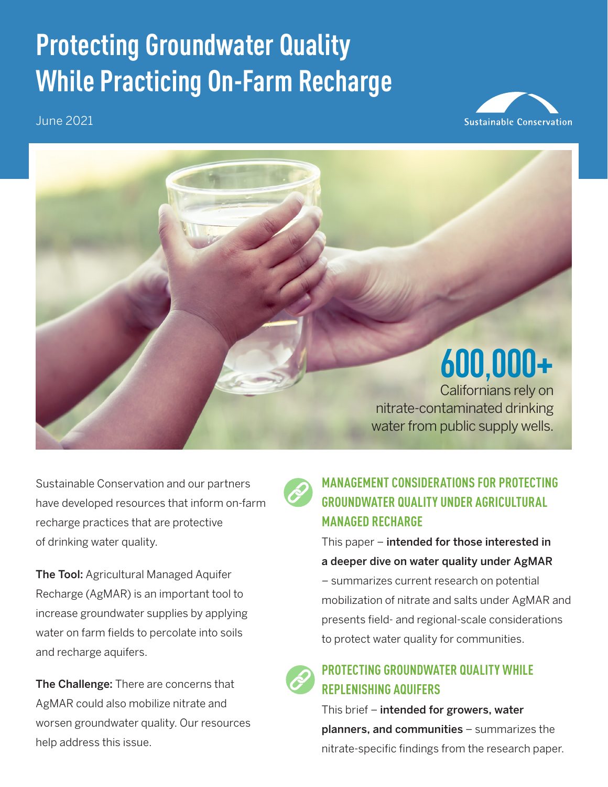# **Protecting Groundwater Quality While Practicing On-Farm Recharge**

June 2021





Sustainable Conservation and our partners have developed resources that inform on-farm recharge practices that are protective of drinking water quality.

The Tool: Agricultural Managed Aquifer Recharge (AgMAR) is an important tool to increase groundwater supplies by applying water on farm fields to percolate into soils and recharge aquifers.

The Challenge: There are concerns that AgMAR could also mobilize nitrate and worsen groundwater quality. Our resources help address this issue.



#### **[MANAGEMENT CONSIDERATIONS FOR PROTECTING](https://suscon.org/wp-content/uploads/2021/06/Management-Considerations-for-Protecting-Groundwater-Quality-Under-AgMAR.pdf)  [GROUNDWATER QUALITY UNDER AGRICULTURAL](https://suscon.org/wp-content/uploads/2021/06/Management-Considerations-for-Protecting-Groundwater-Quality-Under-AgMAR.pdf)  [MANAGED RECHARGE](https://suscon.org/wp-content/uploads/2021/06/Management-Considerations-for-Protecting-Groundwater-Quality-Under-AgMAR.pdf)**

This paper – intended for those interested in a deeper dive on water quality under AgMAR

– summarizes current research on potential mobilization of nitrate and salts under AgMAR and presents field- and regional-scale considerations to protect water quality for communities.



This brief - intended for growers, water planners, and communities – summarizes the nitrate-specific findings from the research paper.